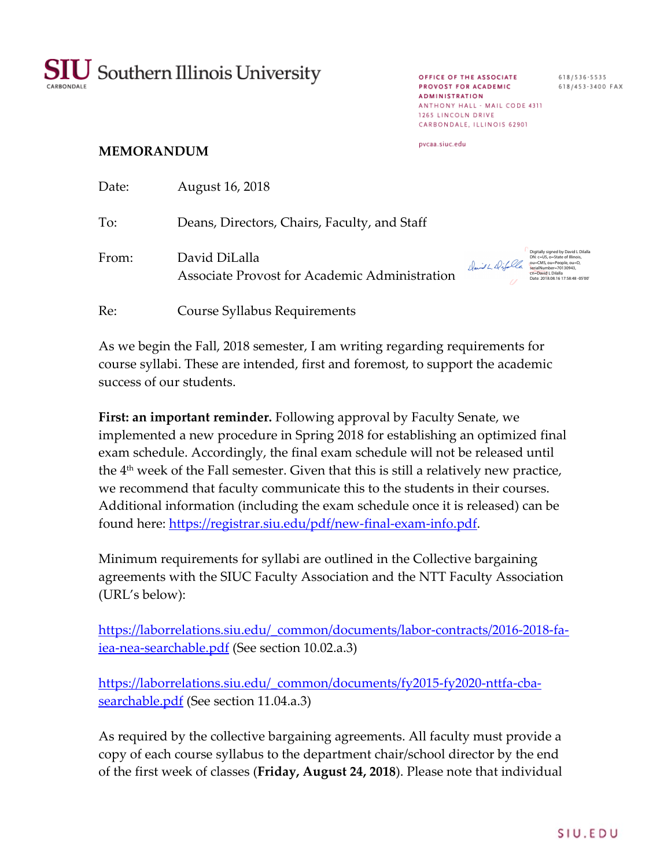

**OFFICE OF THE ASSOCIATE** 618/536-5535<br>**PROVOST FOR ACADEMIC** 618/453-3400 FAX **ADMINISTRATION** ANTHONY HALL - MAIL CODE 4311 1265 LINCOLN DRIVE CARBONDALE, ILLINOIS 62901

## pycaa.siuc.edu

## **MEMORANDUM**

| Date: | August 16, 2018                                                |                 |                                                                                                                                                                                         |
|-------|----------------------------------------------------------------|-----------------|-----------------------------------------------------------------------------------------------------------------------------------------------------------------------------------------|
| To:   | Deans, Directors, Chairs, Faculty, and Staff                   |                 |                                                                                                                                                                                         |
| From: | David DiLalla<br>Associate Provost for Academic Administration | David L Difolle | Digitally signed by David L Dilalla<br>DN: c=US, o=State of Illinois,<br>ou=CMS, ou=People, ou=D,<br>serialNumber=70130943.<br>cn=David L Dilalla<br>Date: 2018.08.16 17:58:48 - 05'00' |
| Re:   | Course Syllabus Requirements                                   |                 |                                                                                                                                                                                         |

As we begin the Fall, 2018 semester, I am writing regarding requirements for course syllabi. These are intended, first and foremost, to support the academic success of our students.

**First: an important reminder.** Following approval by Faculty Senate, we implemented a new procedure in Spring 2018 for establishing an optimized final exam schedule. Accordingly, the final exam schedule will not be released until the 4th week of the Fall semester. Given that this is still a relatively new practice, we recommend that faculty communicate this to the students in their courses. Additional information (including the exam schedule once it is released) can be found here: https://registrar.siu.edu/pdf/new-final-exam-info.pdf.

Minimum requirements for syllabi are outlined in the Collective bargaining agreements with the SIUC Faculty Association and the NTT Faculty Association (URL's below):

https://laborrelations.siu.edu/\_common/documents/labor-contracts/2016-2018-fa-<u>iea-nea-searchable.pdf</u> (See section 10.02.a.3)

https://laborrelations.siu.edu/\_common/documents/fy2015-fy2020-nttfa-cbasearchable.pdf (See section 11.04.a.3)

As required by the collective bargaining agreements. All faculty must provide a copy of each course syllabus to the department chair/school director by the end of the first week of classes (**Friday, August 24, 2018**). Please note that individual